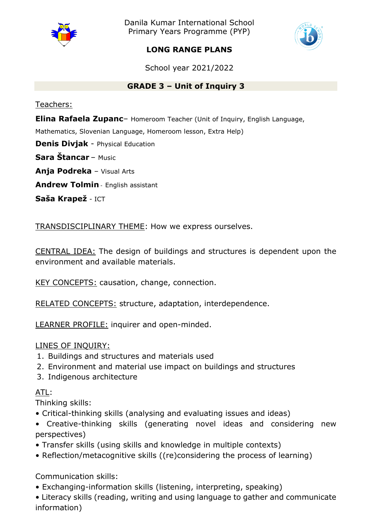

Danila Kumar International School Primary Years Programme (PYP)



# **LONG RANGE PLANS**

School year 2021/2022

# **GRADE 3 – Unit of Inquiry 3**

Teachers:

**Elina Rafaela Zupanc**– Homeroom Teacher (Unit of Inquiry, English Language,

Mathematics, Slovenian Language, Homeroom lesson, Extra Help)

**Denis Divjak** - Physical Education

**Sara Štancar** – Music

**Anja Podreka** – Visual Arts

**Andrew Tolmin** - English assistant

**Saša Krapež** - ICT

TRANSDISCIPLINARY THEME: How we express ourselves.

CENTRAL IDEA: The design of buildings and structures is dependent upon the environment and available materials.

KEY CONCEPTS: causation, change, connection.

RELATED CONCEPTS: structure, adaptation, interdependence.

LEARNER PROFILE: inquirer and open-minded.

LINES OF INQUIRY:

- 1. Buildings and structures and materials used
- 2. Environment and material use impact on buildings and structures
- 3. Indigenous architecture

ATL:

Thinking skills:

- Critical-thinking skills (analysing and evaluating issues and ideas)
- Creative-thinking skills (generating novel ideas and considering new perspectives)
- Transfer skills (using skills and knowledge in multiple contexts)
- Reflection/metacognitive skills ((re)considering the process of learning)

Communication skills:

• Exchanging-information skills (listening, interpreting, speaking)

• Literacy skills (reading, writing and using language to gather and communicate information)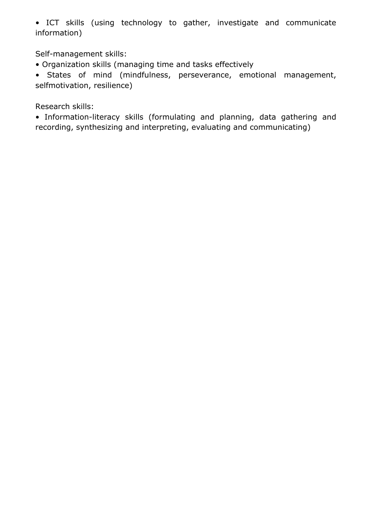• ICT skills (using technology to gather, investigate and communicate information)

Self-management skills:

• Organization skills (managing time and tasks effectively

• States of mind (mindfulness, perseverance, emotional management, selfmotivation, resilience)

Research skills:

• Information-literacy skills (formulating and planning, data gathering and recording, synthesizing and interpreting, evaluating and communicating)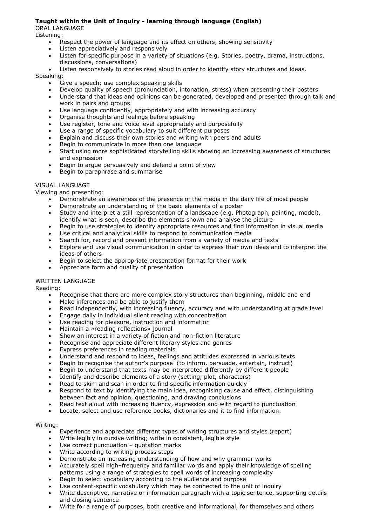# **Taught within the Unit of Inquiry - learning through language (English)**

ORAL LANGUAGE

Listening:

- Respect the power of language and its effect on others, showing sensitivity
- Listen appreciatively and responsively
- Listen for specific purpose in a variety of situations (e.g. Stories, poetry, drama, instructions, discussions, conversations)
- Listen responsively to stories read aloud in order to identify story structures and ideas.

#### Speaking:

- Give a speech; use complex speaking skills
- Develop quality of speech (pronunciation, intonation, stress) when presenting their posters
- Understand that ideas and opinions can be generated, developed and presented through talk and work in pairs and groups
- Use language confidently, appropriately and with increasing accuracy
- Organise thoughts and feelings before speaking
- Use register, tone and voice level appropriately and purposefully
- Use a range of specific vocabulary to suit different purposes
- Explain and discuss their own stories and writing with peers and adults
- Begin to communicate in more than one language
- Start using more sophisticated storytelling skills showing an increasing awareness of structures and expression
- Begin to argue persuasively and defend a point of view
- Begin to paraphrase and summarise

### VISUAL LANGUAGE

Viewing and presenting:

- Demonstrate an awareness of the presence of the media in the daily life of most people
- Demonstrate an understanding of the basic elements of a poster
- Study and interpret a still representation of a landscape (e.g. Photograph, painting, model), identify what is seen, describe the elements shown and analyse the picture
- Begin to use strategies to identify appropriate resources and find information in visual media
- Use critical and analytical skills to respond to communication media
- Search for, record and present information from a variety of media and texts
- Explore and use visual communication in order to express their own ideas and to interpret the ideas of others
- Begin to select the appropriate presentation format for their work
- Appreciate form and quality of presentation

# WRITTEN LANGUAGE

Reading:

- Recognise that there are more complex story structures than beginning, middle and end
- Make inferences and be able to justify them
- Read independently, with increasing fluency, accuracy and with understanding at grade level
- Engage daily in individual silent reading with concentration
- Use reading for pleasure, instruction and information
- Maintain a »reading reflections« journal
- Show an interest in a variety of fiction and non-fiction literature
- Recognise and appreciate different literary styles and genres
- Express preferences in reading materials
- Understand and respond to ideas, feelings and attitudes expressed in various texts
- Begin to recognise the author's purpose (to inform, persuade, entertain, instruct)
- Begin to understand that texts may be interpreted differently by different people
- Identify and describe elements of a story (setting, plot, characters)
- Read to skim and scan in order to find specific information quickly
- Respond to text by identifying the main idea, recognising cause and effect, distinguishing between fact and opinion, questioning, and drawing conclusions
- Read text aloud with increasing fluency, expression and with regard to punctuation
- Locate, select and use reference books, dictionaries and it to find information.

#### Writing:

- Experience and appreciate different types of writing structures and styles (report)
- Write legibly in cursive writing; write in consistent, legible style
- Use correct punctuation quotation marks
- Write according to writing process steps
- Demonstrate an increasing understanding of how and why grammar works
- Accurately spell high–frequency and familiar words and apply their knowledge of spelling patterns using a range of strategies to spell words of increasing complexity
- Begin to select vocabulary according to the audience and purpose
- Use content-specific vocabulary which may be connected to the unit of inquiry
- Write descriptive, narrative or information paragraph with a topic sentence, supporting details and closing sentence
- Write for a range of purposes, both creative and informational, for themselves and others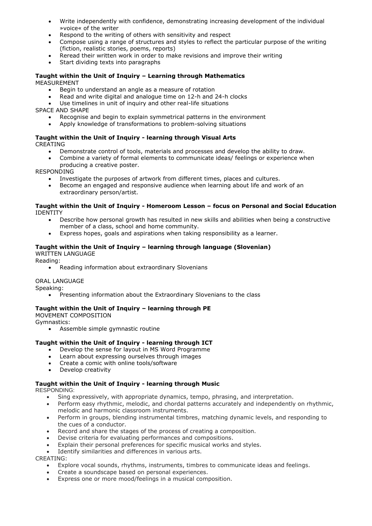- Write independently with confidence, demonstrating increasing development of the individual »voice« of the writer
- Respond to the writing of others with sensitivity and respect
- Compose using a range of structures and styles to reflect the particular purpose of the writing (fiction, realistic stories, poems, reports)
- Reread their written work in order to make revisions and improve their writing
- Start dividing texts into paragraphs

#### **Taught within the Unit of Inquiry – Learning through Mathematics** MEASUREMENT

- Begin to understand an angle as a measure of rotation
- Read and write digital and analogue time on 12-h and 24-h clocks
- Use timelines in unit of inquiry and other real-life situations

SPACE AND SHAPE

- Recognise and begin to explain symmetrical patterns in the environment
- Apply knowledge of transformations to problem-solving situations

#### **Taught within the Unit of Inquiry - learning through Visual Arts** CREATING

- Demonstrate control of tools, materials and processes and develop the ability to draw.
- Combine a variety of formal elements to communicate ideas/ feelings or experience when producing a creative poster.

RESPONDING

- Investigate the purposes of artwork from different times, places and cultures.
- Become an engaged and responsive audience when learning about life and work of an extraordinary person/artist.

#### **Taught within the Unit of Inquiry - Homeroom Lesson – focus on Personal and Social Education** IDENTITY

- Describe how personal growth has resulted in new skills and abilities when being a constructive member of a class, school and home community.
- Express hopes, goals and aspirations when taking responsibility as a learner.

### **Taught within the Unit of Inquiry – learning through language (Slovenian)**

WRITTEN LANGUAGE

Reading:

Reading information about extraordinary Slovenians

#### ORAL LANGUAGE

Speaking:

Presenting information about the Extraordinary Slovenians to the class

# **Taught within the Unit of Inquiry – learning through PE**

MOVEMENT COMPOSITION Gymnastics:

Assemble simple gymnastic routine

# **Taught within the Unit of Inquiry - learning through ICT**

- Develop the sense for layout in MS Word Programme
- Learn about expressing ourselves through images
- Create a comic with online tools/software
- Develop creativity

# **Taught within the Unit of Inquiry - learning through Music**

RESPONDING:

- Sing expressively, with appropriate dynamics, tempo, phrasing, and interpretation.
- Perform easy rhythmic, melodic, and chordal patterns accurately and independently on rhythmic, melodic and harmonic classroom instruments.
- Perform in groups, blending instrumental timbres, matching dynamic levels, and responding to the cues of a conductor.
- Record and share the stages of the process of creating a composition.
- Devise criteria for evaluating performances and compositions.
- Explain their personal preferences for specific musical works and styles.
- Identify similarities and differences in various arts.

CREATING:

- Explore vocal sounds, rhythms, instruments, timbres to communicate ideas and feelings.
- Create a soundscape based on personal experiences.
- Express one or more mood/feelings in a musical composition.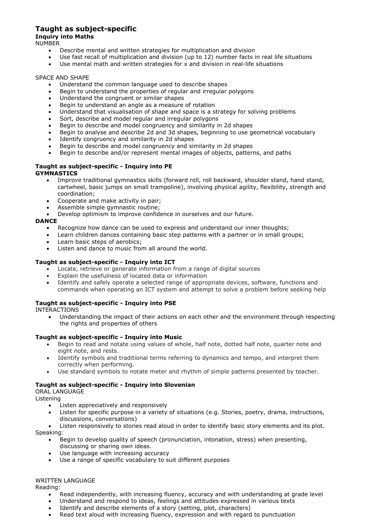# **Taught as subject-specific**

# **Inquiry into Maths**

NUMBER

- Describe mental and written strategies for multiplication and division
- Use fast recall of multiplication and division (up to 12) number facts in real life situations
- Use mental math and written strategies for x and division in real-life situations

### SPACE AND SHAPE

- Understand the common language used to describe shapes
- Begin to understand the properties of regular and irregular polygons
- Understand the congruent or similar shapes
- Begin to understand an angle as a measure of rotation
- Understand that visualisation of shape and space is a strategy for solving problems
- Sort, describe and model regular and irregular polygons
- Begin to describe and model congruency and similarity in 2d shapes
- Begin to analyse and describe 2d and 3d shapes, beginning to use geometrical vocabulary
- Identify congruency and similarity in 2d shapes
- Begin to describe and model congruency and similarity in 2d shapes
- Begin to describe and/or represent mental images of objects, patterns, and paths

#### **Taught as subject-specific - Inquiry into PE GYMNASTICS**

- Improve traditional gymnastics skills (forward roll, roll backward, shoulder stand, hand stand, cartwheel, basic jumps on small trampoline), involving physical agility, flexibility, strength and coordination;
- Cooperate and make activity in pair;
- Assemble simple gymnastic routine;
- Develop optimism to improve confidence in ourselves and our future.

### **DANCE**

- Recognize how dance can be used to express and understand our inner thoughts;
- Learn children dances containing basic step patterns with a partner or in small groups;
- Learn basic steps of aerobics;
- Listen and dance to music from all around the world.

# **Taught as subject-specific - Inquiry into ICT**

- Locate, retrieve or generate information from a range of digital sources
- Explain the usefulness of located data or information
- Identify and safely operate a selected range of appropriate devices, software, functions and commands when operating an ICT system and attempt to solve a problem before seeking help

# **Taught as subject-specific - Inquiry into PSE**

INTERACTIONS

 Understanding the impact of their actions on each other and the environment through respecting the rights and properties of others

# **Taught as subject-specific - Inquiry into Music**

- Begin to read and notate using values of whole, half note, dotted half note, quarter note and eight note, and rests.
- Identify symbols and traditional terms referring to dynamics and tempo, and interpret them correctly when performing.
- Use standard symbols to notate meter and rhythm of simple patterns presented by teacher.

# **Taught as subject-specific - Inquiry into Slovenian**

#### ORAL LANGUAGE

Listening

- Listen appreciatively and responsively
- Listen for specific purpose in a variety of situations (e.g. Stories, poetry, drama, instructions, discussions, conversations)

 Listen responsively to stories read aloud in order to identify basic story elements and its plot. Speaking:

- Begin to develop quality of speech (pronunciation, intonation, stress) when presenting, discussing or sharing own ideas.
- Use language with increasing accuracy
- Use a range of specific vocabulary to suit different purposes

#### WRITTEN LANGUAGE

Reading:

- Read independently, with increasing fluency, accuracy and with understanding at grade level
- Understand and respond to ideas, feelings and attitudes expressed in various texts
- Identify and describe elements of a story (setting, plot, characters)
- Read text aloud with increasing fluency, expression and with regard to punctuation